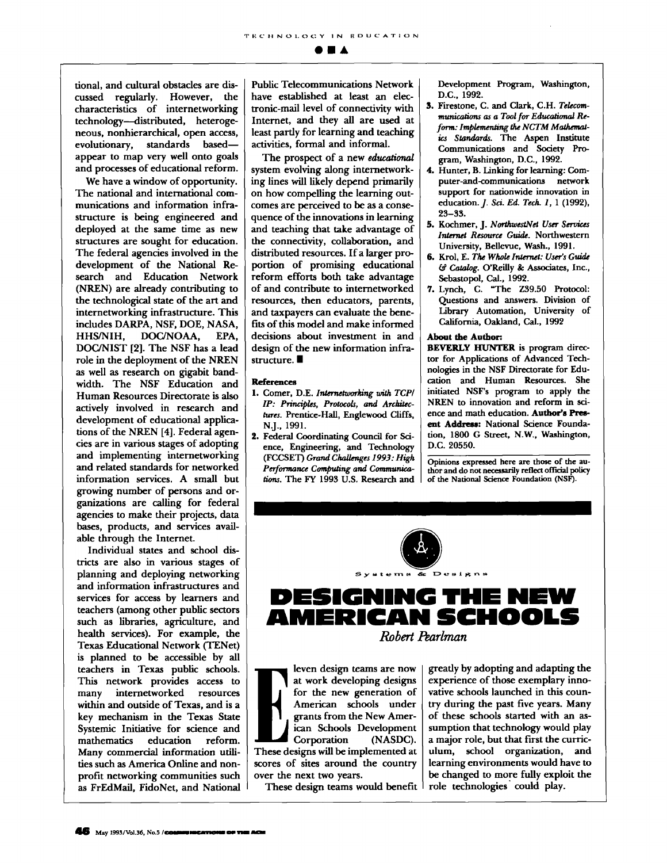tional, and cultural obstacles are discussed regularly. However, the characteristics of internetworking technology-distributed, heterogeneous, nonhierarchical, open access, evolutionary, standards basedappear to map very well onto goals and processes of educational reform.

We have a window of opportunity. The national and international communications and information infrastructure is being engineered and deployed at the same time as new structures are sought for education. The federal agencies involved in the development of the National Research and Education Network (NREN) are already contributing to the technological state of the art and internetworking infrastructure. This includes DARPA, NSF, DOE, NASA, HHS/NIH, DOC/NOAA, EPA. DOC/NIST [2]. The NSF has a lead role in the deployment of the NREN as well as research on gigabit bandwidth. The NSF Education and Human Resources Directorate is also actively involved in research and development of educational applications of the NREN [4]. Federal agencies are in various stages of adopting and implementing internetworking and related standards for networked information services. A small but growing number of persons and organizations are calling for federal agencies to make their projects, data bases, products, and services available through the Internet.

Individual states and school districts are also in various stages of planning and deploying networking and information infrastructures and services for access by learners and teachers (among other public sectors such as libraries, agriculture, and health services). For example, the **Texas Educational Network (TENet)** is planned to be accessible by all teachers in Texas public schools. This network provides access to many internetworked resources within and outside of Texas, and is a key mechanism in the Texas State Systemic Initiative for science and mathematics education reform. Many commercial information utilities such as America Online and nonprofit networking communities such as FrEdMail, FidoNet, and National **Public Telecommunications Network** have established at least an electronic-mail level of connectivity with Internet, and they all are used at least partly for learning and teaching activities, formal and informal.

The prospect of a new educational system evolving along internetworking lines will likely depend primarily on how compelling the learning outcomes are perceived to be as a consequence of the innovations in learning and teaching that take advantage of the connectivity, collaboration, and distributed resources. If a larger proportion of promising educational reform efforts both take advantage of and contribute to internetworked resources, then educators, parents, and taxpayers can evaluate the benefits of this model and make informed decisions about investment in and design of the new information infrastructure.

## References

- 1. Comer, D.E. Internetworking with TCP/ IP: Principles, Protocols, and Architectures. Prentice-Hall, Englewood Cliffs, N.J., 1991.
- 2. Federal Coordinating Council for Science, Engineering, and Technology (FCCSET) Grand Challenges 1993; High Performance Computing and Communications. The FY 1993 U.S. Research and

Development Program, Washington, D.C., 1992.

- 3. Firestone, C. and Clark, C.H. Telecommunications as a Tool for Educational Reform: Implementing the NCTM Mathematics Standards. The Aspen Institute Communications and Society Program, Washington, D.C., 1992.
- 4. Hunter, B. Linking for learning: Computer-and-communications network support for nationwide innovation in education. J. Sci. Ed. Tech. 1, 1 (1992),  $23 - 33.$
- 5. Kochmer, J. NorthwestNet User Services Internet Resource Guide. Northwestern University, Bellevue, Wash., 1991.
- 6. Krol. E. The Whole Internet: User's Guide & Catalog. O'Reilly & Associates, Inc., Sebastopol, Cal., 1992.
- 7. Lynch, C. "The Z39.50 Protocol: Questions and answers. Division of Library Automation, University of California, Oakland, Cal., 1992

## About the Author:

**BEVERLY HUNTER** is program director for Applications of Advanced Technologies in the NSF Directorate for Education and Human Resources. She initiated NSF's program to apply the NREN to innovation and reform in science and math education. Author's Present Address: National Science Foundation, 1800 G Street, N.W., Washington, D.C. 20550.

Opinions expressed here are those of the author and do not necessarily reflect official policy of the National Science Foundation (NSF).



leven design teams are now at work developing designs for the new generation of American schools under grants from the New American Schools Development Corporation (NASDC). These designs will be implemented at scores of sites around the country over the next two years.

These design teams would benefit

greatly by adopting and adapting the experience of those exemplary innovative schools launched in this country during the past five years. Many of these schools started with an assumption that technology would play a major role, but that first the curriculum, school organization, and learning environments would have to be changed to more fully exploit the role technologies could play.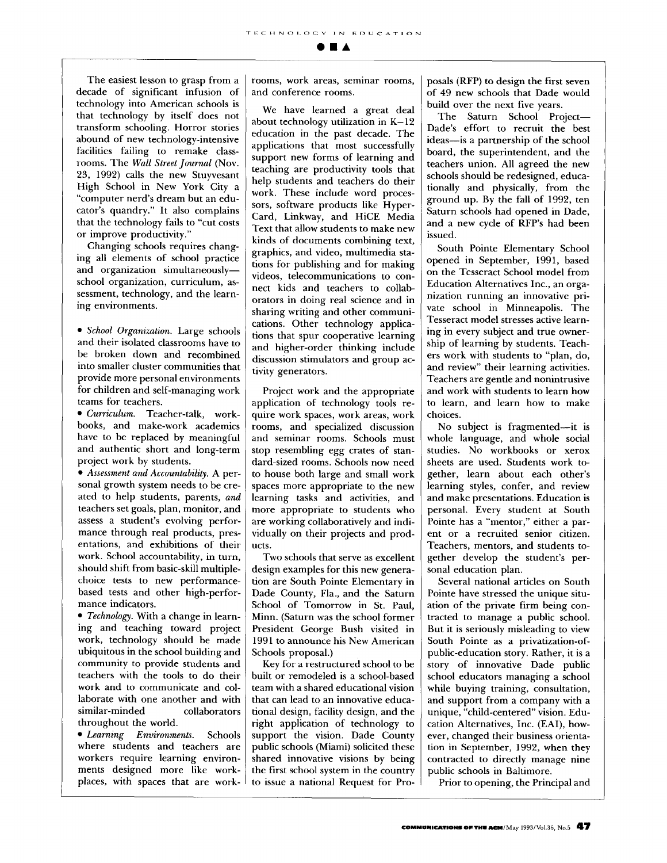**OIA** 

The easiest lesson to grasp from a decade of significant infusion of technology into American schools is that technology by itself does not transform schooling. Horror stories abound of new technology-intensive facilities failing to remake classrooms. The *Wall Street Journal* (Nov. 23, 1992) calls the new Stuyvesant High School in New York City a "computer nerd's dream but an educator's quandry." It also complains that the technology fails to "cut costs or improve productivity."

Changing schools requires changing all elements of school practice and organization simultaneouslyschool organization, curriculum, assessment, technology, and the learning environments.

*• School Organization.* Large schools and their isolated classrooms have to be broken down and recombined into smaller cluster communities that provide more personal environments for children and self-managing work teams for teachers.

*• Curriculum.* Teacher-talk, workbooks, and make-work academics have to be replaced by meaningful and authentic short and long-term project work by students.

*• Assessment and Accountability.* A personal growth system needs to be created to help students, parents, and teachers set goals, plan, monitor, and assess a student's evolving performance through real products, presentations, and exhibitions of their work. School accountability, in turn, should shift from basic-skill multiplechoice tests to new performancebased tests and other high-performance indicators.

*• Technology.* With a change in learning and teaching toward project work, technology should be made ubiquitous in the school building and community to provide students and teachers with the tools to do their work and to communicate and collaborate with one another and with similar-minded collaborators throughout the world.

*• Learning Environments.* Schools where students and teachers are workers require learning environments designed more like workplaces, with spaces that are workrooms, work areas, seminar rooms, and conference rooms.

We have learned a great deal about technology utilization in K-12 education in the past decade. The applications that most successfully support new forms of learning and teaching are productivity tools that help students and teachers do their work. These include word processors, software products like Hyper-Card, Linkway, and HiCE Media Text that allow students to make new kinds of documents combining text, graphics, and video, multimedia stations for publishing and for making videos, telecommunications to connect kids and teachers to collaborators in doing real science and in sharing writing and other communications. Other technology applications that spur cooperative learning and higher-order thinking include discussion stimulators and group activity generators.

Project work and the appropriate application of technology tools require work spaces, work areas, work rooms, and specialized discussion and seminar rooms. Schools must stop resembling egg crates of standard-sized rooms. Schools now need to house both large and small work spaces more appropriate to the new learning tasks and activities, and more appropriate to students who are working collaboratively and individually on their projects and products.

Two schools that serve as excellent design examples for this new generation are South Pointe Elementary in Dade County, Fla., and the Saturn School of Tomorrow in St. Paul, Minn. (Saturn was the school former President George Bush visited in 1991 to announce his New American Schools proposal.)

Key for a restructured school to be built or remodeled is a school-based team with a shared educational vision that can lead to an innovative educational design, facility design, and the right application of technology to support the vision. Dade County public schools (Miami) solicited these shared innovative visions by being the first school system in the country to issue a national Request for Proposals (RFP) to design the first seven of 49 new schools that Dade would build over the next five years.

The Saturn School Project-Dade's effort to recruit the best ideas--is a partnership of the school board, the superintendent, and the teachers union. All agreed the new schools should be redesigned, educationally and physically, from the ground up. By the fall of 1992, ten Saturn schools had opened in Dade, and a new cycle of RFP's had been issued.

South Pointe Elementary School opened in September, 1991, based on the Tesseract School model from Education Alternatives Inc., an organization running an innovative private school in Minneapolis. The Tesseract model stresses active learning in every subject and true ownership of learning by students. Teachers work with students to "plan, do, and review" their learning activities. Teachers are gentle and nonintrusive and work with students to learn how to learn, and learn how to make choices.

No subject is fragmented--it is whole language, and whole social studies. No workbooks or xerox sheets are used. Students work together, learn about each other's learning styles, confer, and review and make presentations. Education is personal. Every student at South Pointe has a "mentor," either a parent or a recruited senior citizen. Teachers, mentors, and students together develop the student's personal education plan.

Several national articles on South Pointe have stressed the unique situation of the private firm being contracted to manage a public school. But it is seriously misleading to view South Pointe as a privatization-ofpublic-education story. Rather, it is a story of innovative Dade public school educators managing a school while buying training, consultation, and support from a company with a unique, "child-centered" vision. Education Alternatives, Inc. (EAI), however, changed their business orientation in September, 1992, when they contracted to directly manage nine public schools in Baltimore.

Prior to opening, the Principal and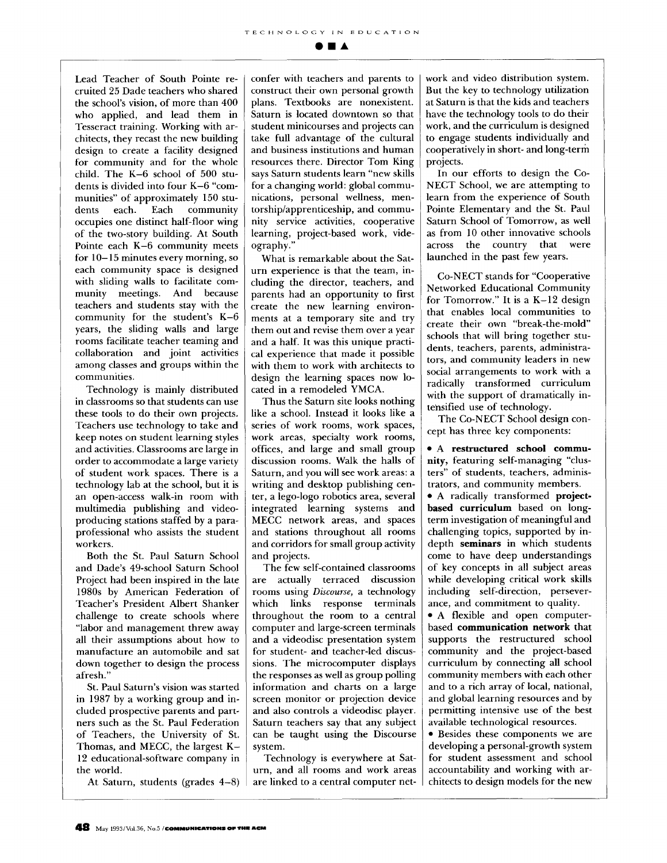**gila** 

Lead Teacher of South Pointe recruited 25 Dade teachers who shared the school's vision, of more than 400 who applied, and lead them in Tesseract training. Working with architects, they recast the new building design to create a facility designed for community and for the whole child. The K-6 school of 500 students is divided into four K-6 "communities" of approximately 150 students each. Each community occupies one distinct half-floor wing of the two-story building. At South Pointe each K-6 community meets for 10-15 minutes every morning, so each community space is designed with sliding walls to facilitate community meetings. And because teachers and students stay with the community for the student's K-6 years, the sliding walls and large rooms facilitate teacher teaming and collaboration and joint activities among classes and groups within the communities.

Technology is mainly distributed in classrooms so that students can use these tools to do their own projects. Teachers use technology to take and keep notes on student learning styles and activities. Classrooms are large in order to accommodate a large variety of student work spaces. There is a technology lab at the school, but it is an open-access walk-in room with multimedia publishing and videoproducing stations staffed by a paraprofessional who assists the student workers.

Both the St. Paul Saturn School and Dade's 49-school Saturn School Project had been inspired in the late 1980s by American Federation of Teacher's President Albert Shanker challenge to create schools where "labor and management threw away all their assumptions about how to manufacture an automobile and sat down together to design the process afresh."

St. Paul Saturn's vision was started in 1987 by a working group and included prospective parents and partners such as the St. Paul Federation of Teachers., the University of St. Thomas, and MECC, the largest K-12 educational-software company in the world.

At Saturn, students (grades 4-8)

confer with teachers and parents to construct their own personal growth plans. Textbooks are nonexistent. Saturn is located downtown so that student minicourses and projects can take full advantage of the cultural and business institutions and human resources there. Director Tom King says Saturn students learn "new skills for a changing world: global communications, personal wellness, mentorship/apprenticeship, and community service activities, cooperative learning, project-based work, videography."

What is remarkable about the Saturn experience is that the team, including the director, teachers, and parents had an opportunity to first create the new learning environments at a temporary site and try them out and revise them over a year and a half. It was this unique practical experience that made it possible with them to work with architects to design the learning spaces now located in a remodeled YMCA.

Thus the Saturn site looks nothing like a school. Instead it looks like a series of work rooms, work spaces, work areas, specialty work rooms, offices, and large and small group discussion rooms. Walk the halls of Saturn, and you will see work areas: a writing and desktop publishing center, a lego-logo robotics area, several integrated learning systems and MECC network areas, and spaces and stations throughout all rooms and corridors for small group activity and projects.

The few self-contained classrooms are actually terraced discussion rooms using *Discourse,* a technology which links response terminals throughout the room to a central computer and large-screen terminals and a videodisc presentation system for student- and teacher-led discussions. The microcomputer displays the responses as well as group polling information and charts on a large screen monitor or projection device and also controls a videodisc player. Saturn teachers say that any subject can be taught using the Discourse system.

Technology is everywhere at Saturn, and all rooms and work areas are linked to a central computer network and video distribution system. But the key to technology utilization at Saturn is that the kids and teachers have the technology tools to do their work, and the curriculum is designed to engage students individually and cooperatively in short- and long-term projects.

In our efforts to design the Co-NECT School, we are attempting to learn from the experience of South Pointe Elementary and the St. Paul Saturn School of Tomorrow, as well as from 10 other innovative schools across the country that were launched in the past few years.

Co-NECT stands for "Cooperative Networked Educational Community for Tomorrow." It is a K-12 design that enables local communities to create their own "break-the-mold" schools that will bring together students, teachers, parents, administrators, and community leaders in new social arrangements to work with a radically transformed curriculum with the support of dramatically intensified use of technology.

The Co-NECT School design concept has three key components:

**• A restructured school community,** featuring self-managing "clusters" of students, teachers, administrators, and community members.

• A radically transformed **projectbased** curriculum based on longterm investigation of meaningful and challenging topics, supported by indepth seminars in which students come to have deep understandings of key concepts in all subject areas while developing critical work skills including self-direction, perseverance, and commitment to quality.

• A flexible and open computerbased communication network that supports the restructured school community and the project-based curriculum by connecting all school community members with each other and to a rich array of local, national, and global learning resources and by permitting intensive use of the best available technological resources.

• Besides these components we are developing a personal-growth system for student assessment and school accountability and working with architects to design models for the new